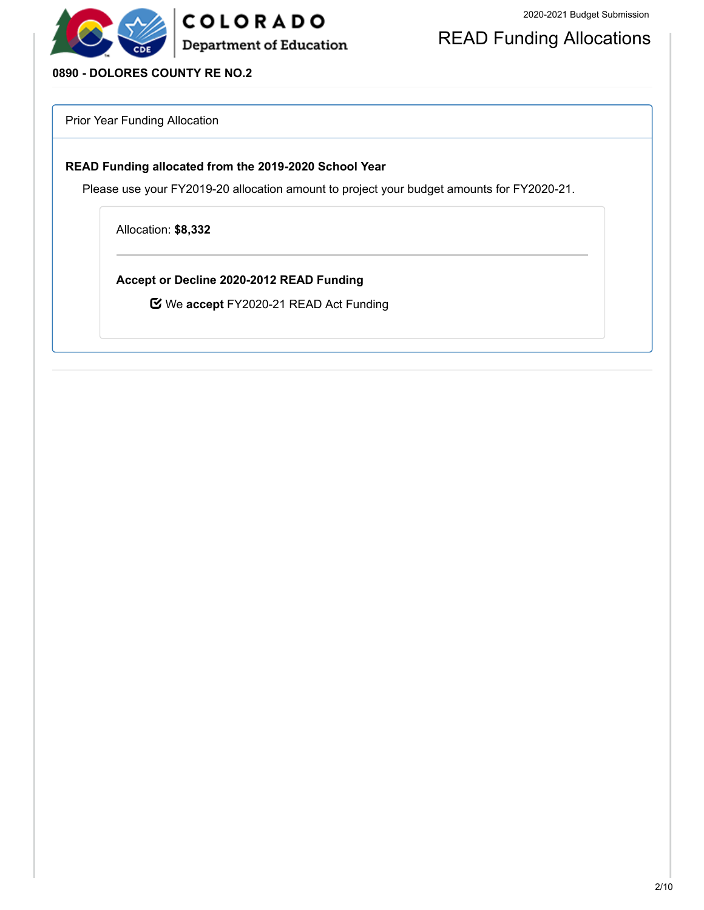

### READ Funding Allocations

### **0890 - DOLORES COUNTY RE NO.2**

Prior Year Funding Allocation

#### **READ Funding allocated from the 2019-2020 School Year**

Please use your FY2019-20 allocation amount to project your budget amounts for FY2020-21.

Allocation: **\$8,332**

**Accept or Decline 2020-2012 READ Funding**

We **accept** FY2020-21 READ Act Funding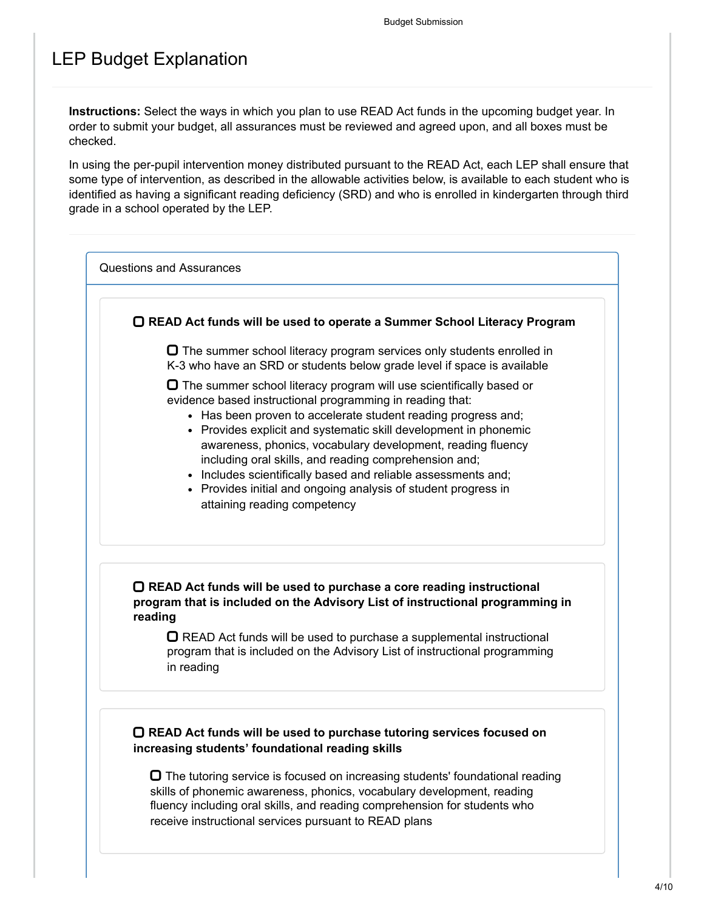### LEP Budget Explanation

**Instructions:** Select the ways in which you plan to use READ Act funds in the upcoming budget year. In order to submit your budget, all assurances must be reviewed and agreed upon, and all boxes must be checked.

In using the per-pupil intervention money distributed pursuant to the READ Act, each LEP shall ensure that some type of intervention, as described in the allowable activities below, is available to each student who is identified as having a significant reading deficiency (SRD) and who is enrolled in kindergarten through third grade in a school operated by the LEP.



 $\Box$  The tutoring service is focused on increasing students' foundational reading skills of phonemic awareness, phonics, vocabulary development, reading fluency including oral skills, and reading comprehension for students who receive instructional services pursuant to READ plans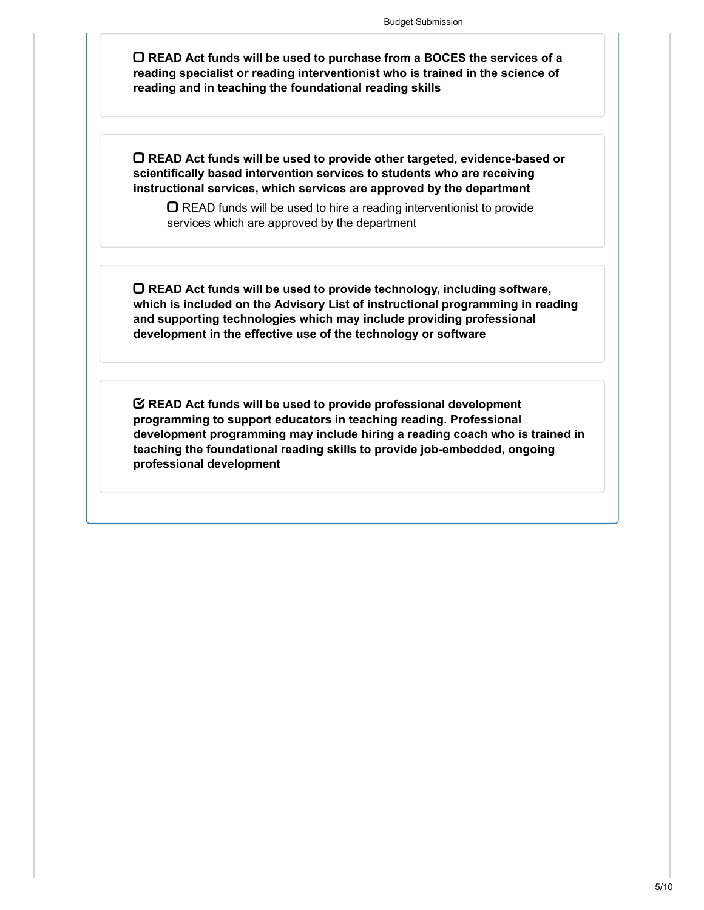**READ Act funds will be used to purchase from a BOCES the services of a reading specialist or reading interventionist who is trained in the science of reading and in teaching the foundational reading skills**

**READ Act funds will be used to provide other targeted, evidence-based or scientifically based intervention services to students who are receiving instructional services, which services are approved by the department**

 $\Box$  READ funds will be used to hire a reading interventionist to provide services which are approved by the department

**READ Act funds will be used to provide technology, including software, which is included on the Advisory List of instructional programming in reading and supporting technologies which may include providing professional development in the effective use of the technology or software**

**READ Act funds will be used to provide professional development programming to support educators in teaching reading. Professional development programming may include hiring a reading coach who is trained in teaching the foundational reading skills to provide job-embedded, ongoing professional development**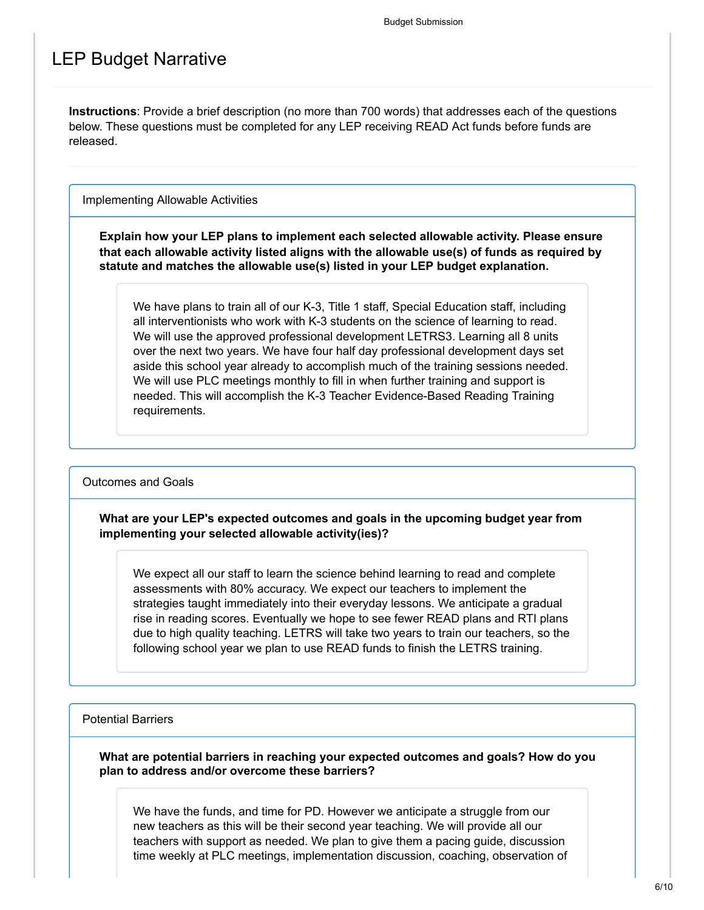### LEP Budget Narrative

**Instructions**: Provide a brief description (no more than 700 words) that addresses each of the questions below. These questions must be completed for any LEP receiving READ Act funds before funds are released.

Implementing Allowable Activities

**Explain how your LEP plans to implement each selected allowable activity. Please ensure that each allowable activity listed aligns with the allowable use(s) of funds as required by statute and matches the allowable use(s) listed in your LEP budget explanation.**

We have plans to train all of our K-3, Title 1 staff, Special Education staff, including all interventionists who work with K-3 students on the science of learning to read. We will use the approved professional development LETRS3. Learning all 8 units over the next two years. We have four half day professional development days set aside this school year already to accomplish much of the training sessions needed. We will use PLC meetings monthly to fill in when further training and support is needed. This will accomplish the K-3 Teacher Evidence-Based Reading Training requirements.

Outcomes and Goals

**What are your LEP's expected outcomes and goals in the upcoming budget year from implementing your selected allowable activity(ies)?**

We expect all our staff to learn the science behind learning to read and complete assessments with 80% accuracy. We expect our teachers to implement the strategies taught immediately into their everyday lessons. We anticipate a gradual rise in reading scores. Eventually we hope to see fewer READ plans and RTI plans due to high quality teaching. LETRS will take two years to train our teachers, so the following school year we plan to use READ funds to finish the LETRS training.

Potential Barriers

**What are potential barriers in reaching your expected outcomes and goals? How do you plan to address and/or overcome these barriers?**

We have the funds, and time for PD. However we anticipate a struggle from our new teachers as this will be their second year teaching. We will provide all our teachers with support as needed. We plan to give them a pacing guide, discussion time weekly at PLC meetings, implementation discussion, coaching, observation of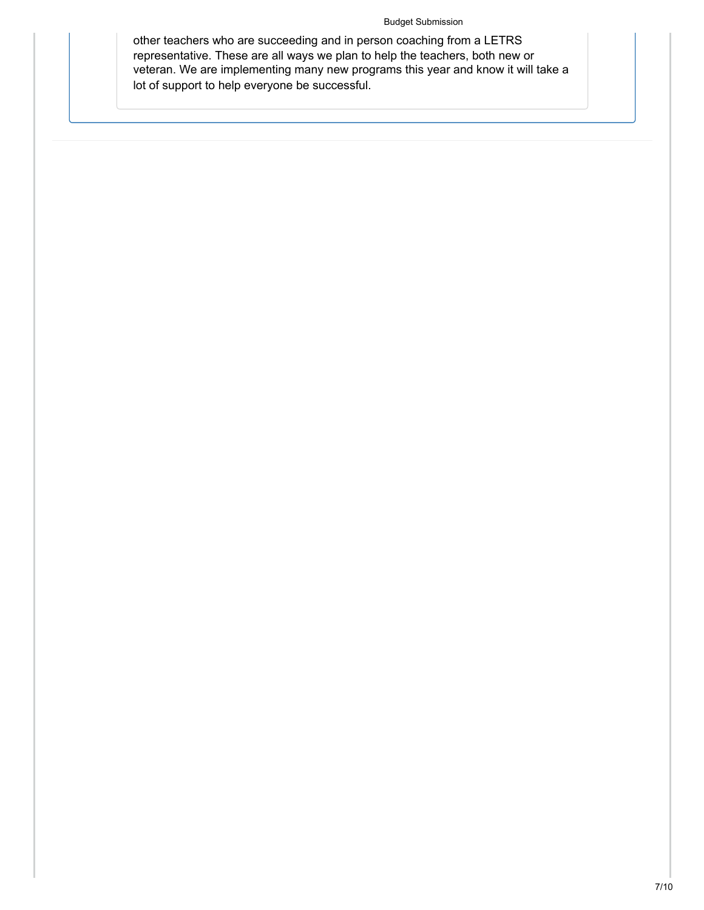#### Budget Submission

other teachers who are succeeding and in person coaching from a LETRS representative. These are all ways we plan to help the teachers, both new or veteran. We are implementing many new programs this year and know it will take a lot of support to help everyone be successful.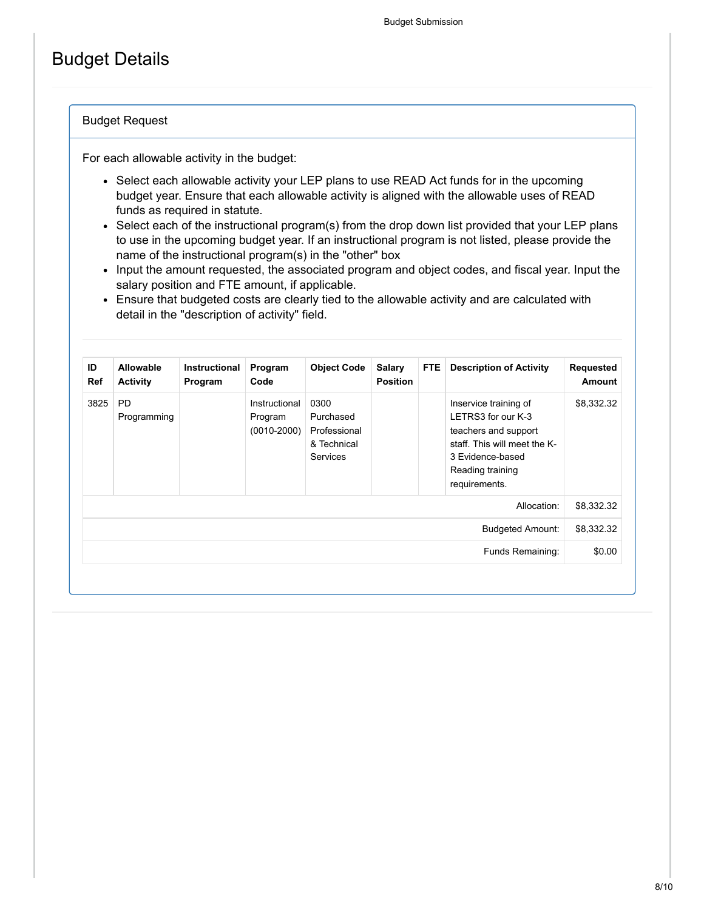## Budget Details

#### Budget Request

For each allowable activity in the budget:

- Select each allowable activity your LEP plans to use READ Act funds for in the upcoming budget year. Ensure that each allowable activity is aligned with the allowable uses of READ funds as required in statute.
- Select each of the instructional program(s) from the drop down list provided that your LEP plans to use in the upcoming budget year. If an instructional program is not listed, please provide the name of the instructional program(s) in the "other" box
- Input the amount requested, the associated program and object codes, and fiscal year. Input the salary position and FTE amount, if applicable.
- Ensure that budgeted costs are clearly tied to the allowable activity and are calculated with detail in the "description of activity" field.

| Requested<br><b>Amount</b> | <b>Description of Activity</b>                                                                                                                               | FTE. | <b>Salary</b><br><b>Position</b> | <b>Object Code</b>                                                  | Program<br>Code                             | Instructional<br>Program | Allowable<br><b>Activity</b> | ID<br><b>Ref</b> |
|----------------------------|--------------------------------------------------------------------------------------------------------------------------------------------------------------|------|----------------------------------|---------------------------------------------------------------------|---------------------------------------------|--------------------------|------------------------------|------------------|
| \$8,332.32                 | Inservice training of<br>LETRS3 for our K-3<br>teachers and support<br>staff. This will meet the K-<br>3 Evidence-based<br>Reading training<br>requirements. |      |                                  | 0300<br>Purchased<br>Professional<br>& Technical<br><b>Services</b> | Instructional<br>Program<br>$(0010 - 2000)$ |                          | <b>PD</b><br>Programming     | 3825             |
| \$8,332.32                 | Allocation:                                                                                                                                                  |      |                                  |                                                                     |                                             |                          |                              |                  |
| \$8,332.32                 | <b>Budgeted Amount:</b>                                                                                                                                      |      |                                  |                                                                     |                                             |                          |                              |                  |
| \$0.00                     | Funds Remaining:                                                                                                                                             |      |                                  |                                                                     |                                             |                          |                              |                  |